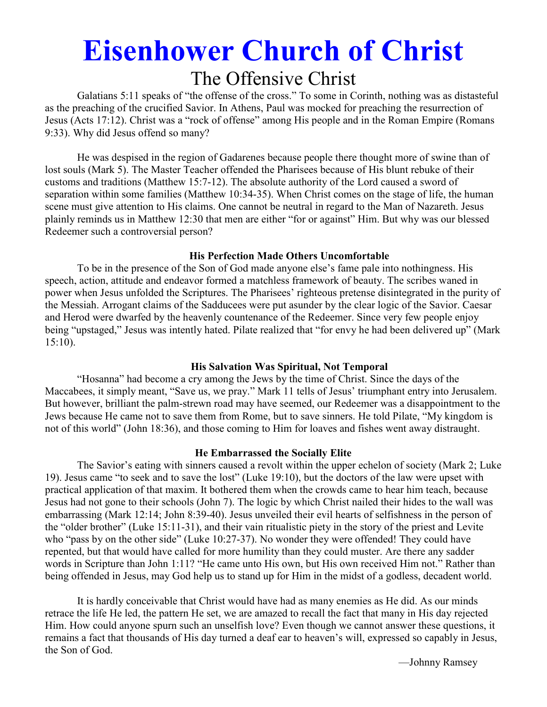# **Eisenhower Church of Christ**  The Offensive Christ

 Galatians 5:11 speaks of "the offense of the cross." To some in Corinth, nothing was as distasteful as the preaching of the crucified Savior. In Athens, Paul was mocked for preaching the resurrection of Jesus (Acts 17:12). Christ was a "rock of offense" among His people and in the Roman Empire (Romans 9:33). Why did Jesus offend so many?

 He was despised in the region of Gadarenes because people there thought more of swine than of lost souls (Mark 5). The Master Teacher offended the Pharisees because of His blunt rebuke of their customs and traditions (Matthew 15:7-12). The absolute authority of the Lord caused a sword of separation within some families (Matthew 10:34-35). When Christ comes on the stage of life, the human scene must give attention to His claims. One cannot be neutral in regard to the Man of Nazareth. Jesus plainly reminds us in Matthew 12:30 that men are either "for or against" Him. But why was our blessed Redeemer such a controversial person?

#### **His Perfection Made Others Uncomfortable**

 To be in the presence of the Son of God made anyone else's fame pale into nothingness. His speech, action, attitude and endeavor formed a matchless framework of beauty. The scribes waned in power when Jesus unfolded the Scriptures. The Pharisees' righteous pretense disintegrated in the purity of the Messiah. Arrogant claims of the Sadducees were put asunder by the clear logic of the Savior. Caesar and Herod were dwarfed by the heavenly countenance of the Redeemer. Since very few people enjoy being "upstaged," Jesus was intently hated. Pilate realized that "for envy he had been delivered up" (Mark 15:10).

#### **His Salvation Was Spiritual, Not Temporal**

 "Hosanna" had become a cry among the Jews by the time of Christ. Since the days of the Maccabees, it simply meant, "Save us, we pray." Mark 11 tells of Jesus' triumphant entry into Jerusalem. But however, brilliant the palm-strewn road may have seemed, our Redeemer was a disappointment to the Jews because He came not to save them from Rome, but to save sinners. He told Pilate, "My kingdom is not of this world" (John 18:36), and those coming to Him for loaves and fishes went away distraught.

#### **He Embarrassed the Socially Elite**

 The Savior's eating with sinners caused a revolt within the upper echelon of society (Mark 2; Luke 19). Jesus came "to seek and to save the lost" (Luke 19:10), but the doctors of the law were upset with practical application of that maxim. It bothered them when the crowds came to hear him teach, because Jesus had not gone to their schools (John 7). The logic by which Christ nailed their hides to the wall was embarrassing (Mark 12:14; John 8:39-40). Jesus unveiled their evil hearts of selfishness in the person of the "older brother" (Luke 15:11-31), and their vain ritualistic piety in the story of the priest and Levite who "pass by on the other side" (Luke 10:27-37). No wonder they were offended! They could have repented, but that would have called for more humility than they could muster. Are there any sadder words in Scripture than John 1:11? "He came unto His own, but His own received Him not." Rather than being offended in Jesus, may God help us to stand up for Him in the midst of a godless, decadent world.

 It is hardly conceivable that Christ would have had as many enemies as He did. As our minds retrace the life He led, the pattern He set, we are amazed to recall the fact that many in His day rejected Him. How could anyone spurn such an unselfish love? Even though we cannot answer these questions, it remains a fact that thousands of His day turned a deaf ear to heaven's will, expressed so capably in Jesus, the Son of God.

—Johnny Ramsey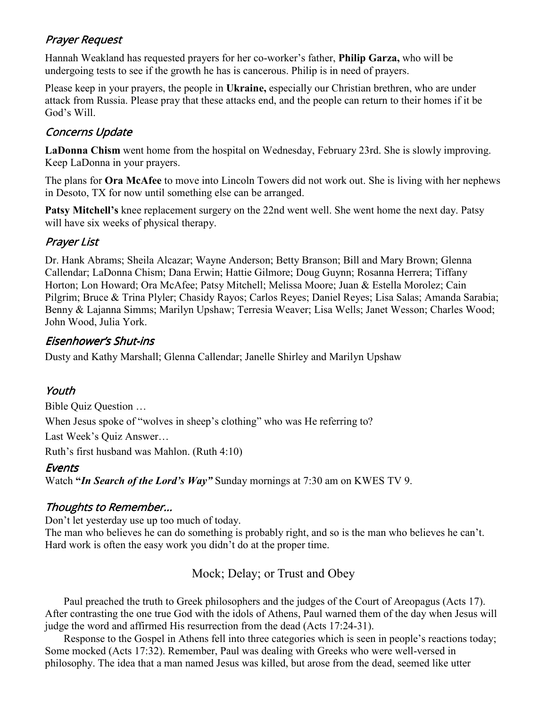## Prayer Request

Hannah Weakland has requested prayers for her co-worker's father, **Philip Garza,** who will be undergoing tests to see if the growth he has is cancerous. Philip is in need of prayers.

Please keep in your prayers, the people in **Ukraine,** especially our Christian brethren, who are under attack from Russia. Please pray that these attacks end, and the people can return to their homes if it be God's Will.

## **Concerns Update**

**LaDonna Chism** went home from the hospital on Wednesday, February 23rd. She is slowly improving. Keep LaDonna in your prayers.

The plans for **Ora McAfee** to move into Lincoln Towers did not work out. She is living with her nephews in Desoto, TX for now until something else can be arranged.

**Patsy Mitchell's** knee replacement surgery on the 22nd went well. She went home the next day. Patsy will have six weeks of physical therapy.

## Prayer List

Dr. Hank Abrams; Sheila Alcazar; Wayne Anderson; Betty Branson; Bill and Mary Brown; Glenna Callendar; LaDonna Chism; Dana Erwin; Hattie Gilmore; Doug Guynn; Rosanna Herrera; Tiffany Horton; Lon Howard; Ora McAfee; Patsy Mitchell; Melissa Moore; Juan & Estella Morolez; Cain Pilgrim; Bruce & Trina Plyler; Chasidy Rayos; Carlos Reyes; Daniel Reyes; Lisa Salas; Amanda Sarabia; Benny & Lajanna Simms; Marilyn Upshaw; Terresia Weaver; Lisa Wells; Janet Wesson; Charles Wood; John Wood, Julia York.

## Eisenhower's Shut-ins

Dusty and Kathy Marshall; Glenna Callendar; Janelle Shirley and Marilyn Upshaw

## Youth

Bible Quiz Question …

When Jesus spoke of "wolves in sheep's clothing" who was He referring to?

Last Week's Quiz Answer…

Ruth's first husband was Mahlon. (Ruth 4:10)

## **Events**

Watch **"***In Search of the Lord's Way"* Sunday mornings at 7:30 am on KWES TV 9.

## Thoughts to Remember...

Don't let yesterday use up too much of today.

The man who believes he can do something is probably right, and so is the man who believes he can't. Hard work is often the easy work you didn't do at the proper time.

## Mock; Delay; or Trust and Obey

 Paul preached the truth to Greek philosophers and the judges of the Court of Areopagus (Acts 17). After contrasting the one true God with the idols of Athens, Paul warned them of the day when Jesus will judge the word and affirmed His resurrection from the dead (Acts 17:24-31).

 Response to the Gospel in Athens fell into three categories which is seen in people's reactions today; Some mocked (Acts 17:32). Remember, Paul was dealing with Greeks who were well-versed in philosophy. The idea that a man named Jesus was killed, but arose from the dead, seemed like utter